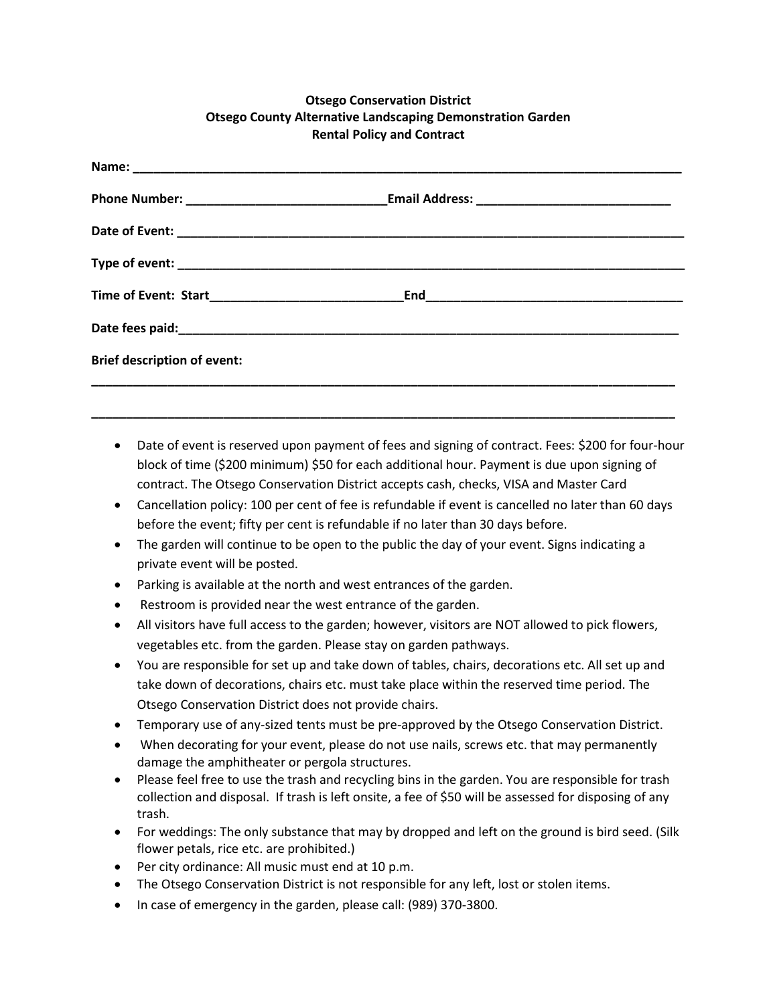## **Otsego Conservation District Otsego County Alternative Landscaping Demonstration Garden Rental Policy and Contract**

| <b>Brief description of event:</b> |  |
|------------------------------------|--|
|                                    |  |

• Date of event is reserved upon payment of fees and signing of contract. Fees: \$200 for four-hour block of time (\$200 minimum) \$50 for each additional hour. Payment is due upon signing of contract. The Otsego Conservation District accepts cash, checks, VISA and Master Card

**\_\_\_\_\_\_\_\_\_\_\_\_\_\_\_\_\_\_\_\_\_\_\_\_\_\_\_\_\_\_\_\_\_\_\_\_\_\_\_\_\_\_\_\_\_\_\_\_\_\_\_\_\_\_\_\_\_\_\_\_\_\_\_\_\_\_\_\_\_\_\_\_\_\_\_\_\_\_\_\_\_\_\_\_**

- Cancellation policy: 100 per cent of fee is refundable if event is cancelled no later than 60 days before the event; fifty per cent is refundable if no later than 30 days before.
- The garden will continue to be open to the public the day of your event. Signs indicating a private event will be posted.
- Parking is available at the north and west entrances of the garden.
- Restroom is provided near the west entrance of the garden.
- All visitors have full access to the garden; however, visitors are NOT allowed to pick flowers, vegetables etc. from the garden. Please stay on garden pathways.
- You are responsible for set up and take down of tables, chairs, decorations etc. All set up and take down of decorations, chairs etc. must take place within the reserved time period. The Otsego Conservation District does not provide chairs.
- Temporary use of any-sized tents must be pre-approved by the Otsego Conservation District.
- When decorating for your event, please do not use nails, screws etc. that may permanently damage the amphitheater or pergola structures.
- Please feel free to use the trash and recycling bins in the garden. You are responsible for trash collection and disposal. If trash is left onsite, a fee of \$50 will be assessed for disposing of any trash.
- For weddings: The only substance that may by dropped and left on the ground is bird seed. (Silk flower petals, rice etc. are prohibited.)
- Per city ordinance: All music must end at 10 p.m.
- The Otsego Conservation District is not responsible for any left, lost or stolen items.
- In case of emergency in the garden, please call: (989) 370-3800.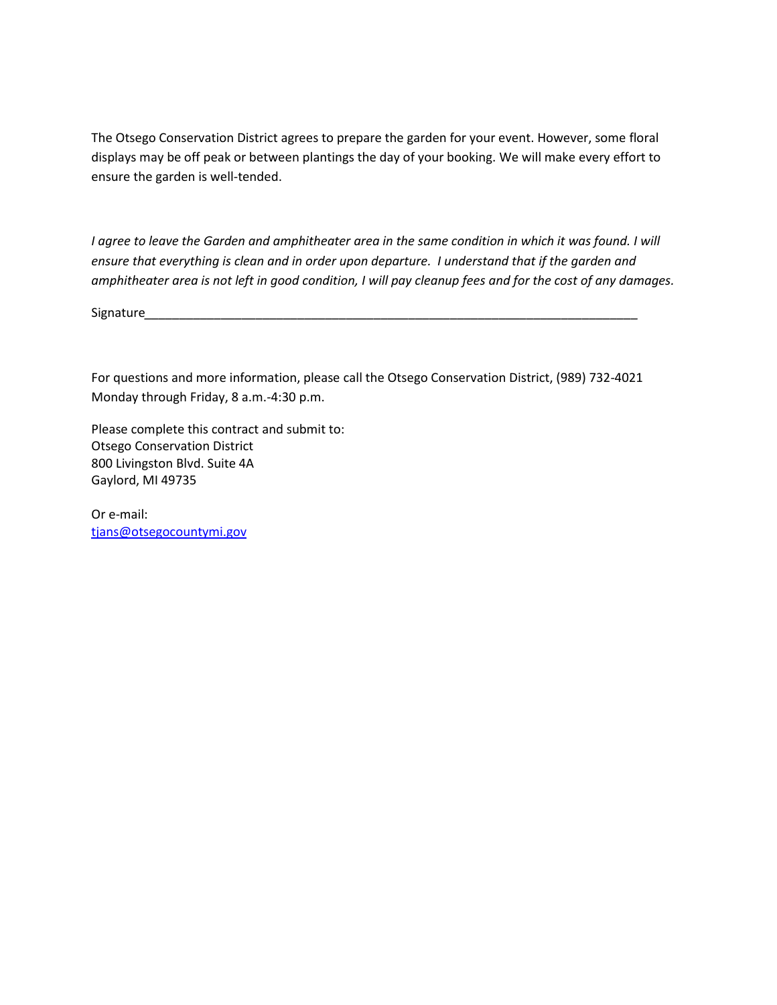The Otsego Conservation District agrees to prepare the garden for your event. However, some floral displays may be off peak or between plantings the day of your booking. We will make every effort to ensure the garden is well-tended.

*I agree to leave the Garden and amphitheater area in the same condition in which it was found. I will ensure that everything is clean and in order upon departure. I understand that if the garden and amphitheater area is not left in good condition, I will pay cleanup fees and for the cost of any damages.*

Signature

For questions and more information, please call the Otsego Conservation District, (989) 732-4021 Monday through Friday, 8 a.m.-4:30 p.m.

Please complete this contract and submit to: Otsego Conservation District 800 Livingston Blvd. Suite 4A Gaylord, MI 49735

Or e-mail: [tjans@otsegocountymi.gov](mailto:tjans@otsegocountymi.gov)